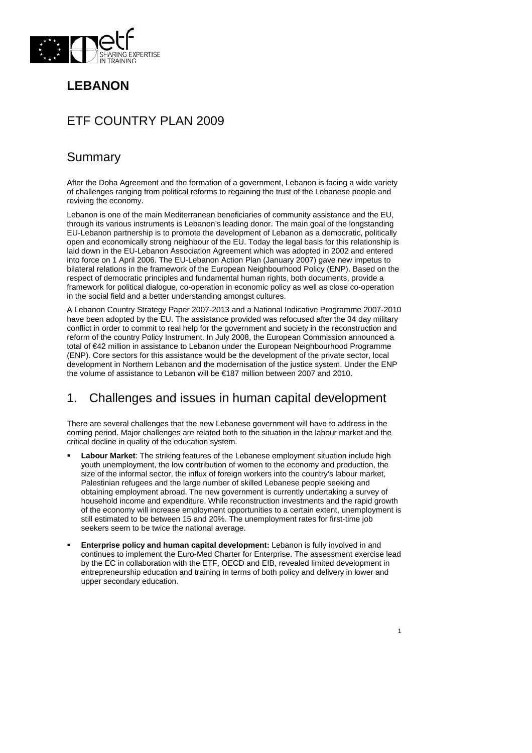

# **LEBANON**

# ETF COUNTRY PLAN 2009

# Summary

After the Doha Agreement and the formation of a government, Lebanon is facing a wide variety of challenges ranging from political reforms to regaining the trust of the Lebanese people and reviving the economy.

Lebanon is one of the main Mediterranean beneficiaries of community assistance and the EU, through its various instruments is Lebanon's leading donor. The main goal of the longstanding EU-Lebanon partnership is to promote the development of Lebanon as a democratic, politically open and economically strong neighbour of the EU. Today the legal basis for this relationship is laid down in the EU-Lebanon Association Agreement which was adopted in 2002 and entered into force on 1 April 2006. The EU-Lebanon Action Plan (January 2007) gave new impetus to bilateral relations in the framework of the European Neighbourhood Policy (ENP). Based on the respect of democratic principles and fundamental human rights, both documents, provide a framework for political dialogue, co-operation in economic policy as well as close co-operation in the social field and a better understanding amongst cultures.

A Lebanon Country Strategy Paper 2007-2013 and a National Indicative Programme 2007-2010 have been adopted by the EU. The assistance provided was refocused after the 34 day military conflict in order to commit to real help for the government and society in the reconstruction and reform of the country Policy Instrument. In July 2008, the European Commission announced a total of €42 million in assistance to Lebanon under the European Neighbourhood Programme (ENP). Core sectors for this assistance would be the development of the private sector, local development in Northern Lebanon and the modernisation of the justice system. Under the ENP the volume of assistance to Lebanon will be €187 million between 2007 and 2010.

## 1. Challenges and issues in human capital development

There are several challenges that the new Lebanese government will have to address in the coming period. Major challenges are related both to the situation in the labour market and the critical decline in quality of the education system.

- **Labour Market**: The striking features of the Lebanese employment situation include high youth unemployment, the low contribution of women to the economy and production, the size of the informal sector, the influx of foreign workers into the country's labour market, Palestinian refugees and the large number of skilled Lebanese people seeking and obtaining employment abroad. The new government is currently undertaking a survey of household income and expenditure. While reconstruction investments and the rapid growth of the economy will increase employment opportunities to a certain extent, unemployment is still estimated to be between 15 and 20%. The unemployment rates for first-time job seekers seem to be twice the national average.
- **Enterprise policy and human capital development:** Lebanon is fully involved in and continues to implement the Euro-Med Charter for Enterprise. The assessment exercise lead by the EC in collaboration with the ETF, OECD and EIB, revealed limited development in entrepreneurship education and training in terms of both policy and delivery in lower and upper secondary education.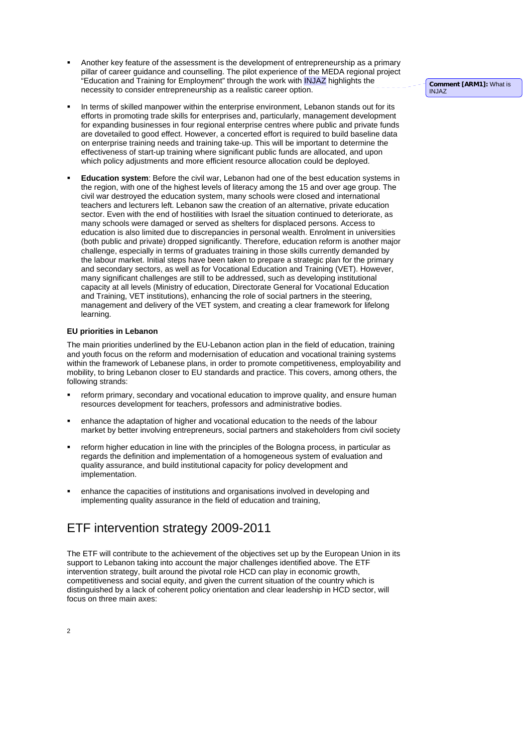- Another key feature of the assessment is the development of entrepreneurship as a primary pillar of career guidance and counselling. The pilot experience of the MEDA regional project .<br>"Education and Training for Employment" through the work with INJAZ highlights the necessity to consider entrepreneurship as a realistic career option.
	- In terms of skilled manpower within the enterprise environment, Lebanon stands out for its efforts in promoting trade skills for enterprises and, particularly, management development for expanding businesses in four regional enterprise centres where public and private funds are dovetailed to good effect. However, a concerted effort is required to build baseline data on enterprise training needs and training take-up. This will be important to determine the

effectiveness of start-up training where significant public funds are allocated, and upon which policy adjustments and more efficient resource allocation could be deployed.

 **Education system**: Before the civil war, Lebanon had one of the best education systems in the region, with one of the highest levels of literacy among the 15 and over age group. The civil war destroyed the education system, many schools were closed and international teachers and lecturers left. Lebanon saw the creation of an alternative, private education sector. Even with the end of hostilities with Israel the situation continued to deteriorate, as many schools were damaged or served as shelters for displaced persons. Access to education is also limited due to discrepancies in personal wealth. Enrolment in universities (both public and private) dropped significantly. Therefore, education reform is another major challenge, especially in terms of graduates training in those skills currently demanded by the labour market. Initial steps have been taken to prepare a strategic plan for the primary and secondary sectors, as well as for Vocational Education and Training (VET). However, many significant challenges are still to be addressed, such as developing institutional capacity at all levels (Ministry of education, Directorate General for Vocational Education and Training, VET institutions), enhancing the role of social partners in the steering, management and delivery of the VET system, and creating a clear framework for lifelong learning.

#### **EU priorities in Lebanon**

The main priorities underlined by the EU-Lebanon action plan in the field of education, training and youth focus on the reform and modernisation of education and vocational training systems within the framework of Lebanese plans, in order to promote competitiveness, employability and mobility, to bring Lebanon closer to EU standards and practice. This covers, among others, the following strands:

- reform primary, secondary and vocational education to improve quality, and ensure human resources development for teachers, professors and administrative bodies.
- enhance the adaptation of higher and vocational education to the needs of the labour market by better involving entrepreneurs, social partners and stakeholders from civil society
- reform higher education in line with the principles of the Bologna process, in particular as regards the definition and implementation of a homogeneous system of evaluation and quality assurance, and build institutional capacity for policy development and implementation.
- enhance the capacities of institutions and organisations involved in developing and implementing quality assurance in the field of education and training,

## ETF intervention strategy 2009-2011

The ETF will contribute to the achievement of the objectives set up by the European Union in its support to Lebanon taking into account the major challenges identified above. The ETF intervention strategy, built around the pivotal role HCD can play in economic growth, competitiveness and social equity, and given the current situation of the country which is distinguished by a lack of coherent policy orientation and clear leadership in HCD sector, will focus on three main axes:

**Comment [ARM1]:** What is INJAZ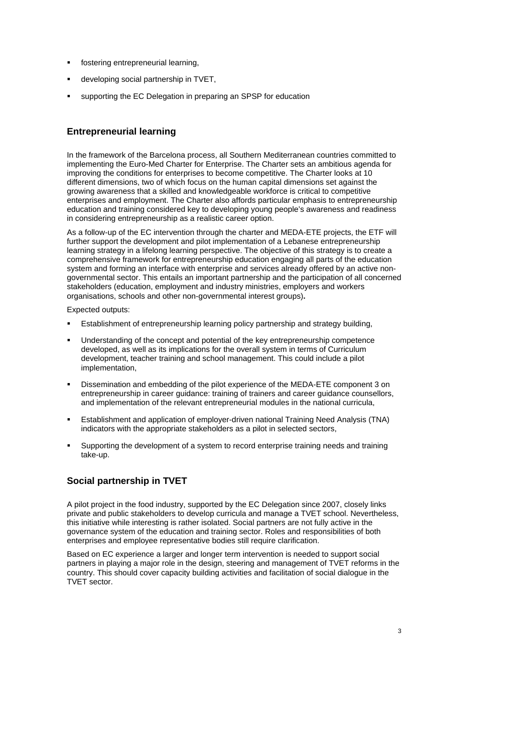- fostering entrepreneurial learning,
- developing social partnership in TVET,
- supporting the EC Delegation in preparing an SPSP for education

### **Entrepreneurial learning**

In the framework of the Barcelona process, all Southern Mediterranean countries committed to implementing the Euro-Med Charter for Enterprise. The Charter sets an ambitious agenda for improving the conditions for enterprises to become competitive. The Charter looks at 10 different dimensions, two of which focus on the human capital dimensions set against the growing awareness that a skilled and knowledgeable workforce is critical to competitive enterprises and employment. The Charter also affords particular emphasis to entrepreneurship education and training considered key to developing young people's awareness and readiness in considering entrepreneurship as a realistic career option.

As a follow-up of the EC intervention through the charter and MEDA-ETE projects, the ETF will further support the development and pilot implementation of a Lebanese entrepreneurship learning strategy in a lifelong learning perspective. The objective of this strategy is to create a comprehensive framework for entrepreneurship education engaging all parts of the education system and forming an interface with enterprise and services already offered by an active nongovernmental sector. This entails an important partnership and the participation of all concerned stakeholders (education, employment and industry ministries, employers and workers organisations, schools and other non-governmental interest groups)**.** 

Expected outputs:

- Establishment of entrepreneurship learning policy partnership and strategy building,
- Understanding of the concept and potential of the key entrepreneurship competence developed, as well as its implications for the overall system in terms of Curriculum development, teacher training and school management. This could include a pilot implementation,
- Dissemination and embedding of the pilot experience of the MEDA-ETE component 3 on entrepreneurship in career guidance: training of trainers and career guidance counsellors, and implementation of the relevant entrepreneurial modules in the national curricula,
- Establishment and application of employer-driven national Training Need Analysis (TNA) indicators with the appropriate stakeholders as a pilot in selected sectors,
- Supporting the development of a system to record enterprise training needs and training take-up.

### **Social partnership in TVET**

A pilot project in the food industry, supported by the EC Delegation since 2007, closely links private and public stakeholders to develop curricula and manage a TVET school. Nevertheless, this initiative while interesting is rather isolated. Social partners are not fully active in the governance system of the education and training sector. Roles and responsibilities of both enterprises and employee representative bodies still require clarification.

Based on EC experience a larger and longer term intervention is needed to support social partners in playing a major role in the design, steering and management of TVET reforms in the country. This should cover capacity building activities and facilitation of social dialogue in the TVET sector.